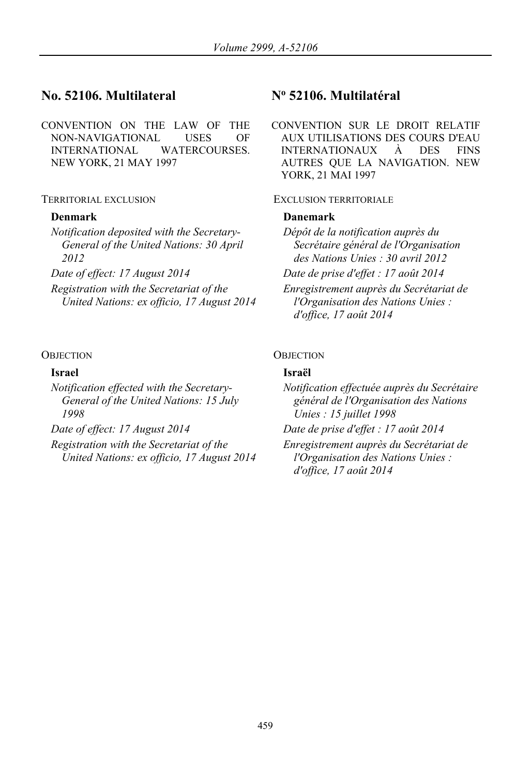# **No. 52106. Multilateral No 52106. Multilatéral**

CONVENTION ON THE LAW OF THE NON-NAVIGATIONAL USES OF INTERNATIONAL WATERCOURSES. NEW YORK, 21 MAY 1997

*Notification deposited with the Secretary-General of the United Nations: 30 April 2012*

*Registration with the Secretariat of the United Nations: ex officio, 17 August 2014*

*Notification effected with the Secretary-General of the United Nations: 15 July 1998*

*Registration with the Secretariat of the United Nations: ex officio, 17 August 2014*

CONVENTION SUR LE DROIT RELATIF AUX UTILISATIONS DES COURS D'EAU INTERNATIONAUX À DES FINS AUTRES QUE LA NAVIGATION. NEW YORK, 21 MAI 1997

### TERRITORIAL EXCLUSION EXCLUSION TERRITORIALE

### **Denmark Danemark**

*Dépôt de la notification auprès du Secrétaire général de l'Organisation des Nations Unies : 30 avril 2012*

*Date of effect: 17 August 2014 Date de prise d'effet : 17 août 2014*

*Enregistrement auprès du Secrétariat de l'Organisation des Nations Unies : d'office, 17 août 2014*

### OBJECTION OBJECTION

### **Israel Israël**

*Notification effectuée auprès du Secrétaire général de l'Organisation des Nations Unies : 15 juillet 1998*

*Date of effect: 17 August 2014 Date de prise d'effet : 17 août 2014*

*Enregistrement auprès du Secrétariat de l'Organisation des Nations Unies : d'office, 17 août 2014*